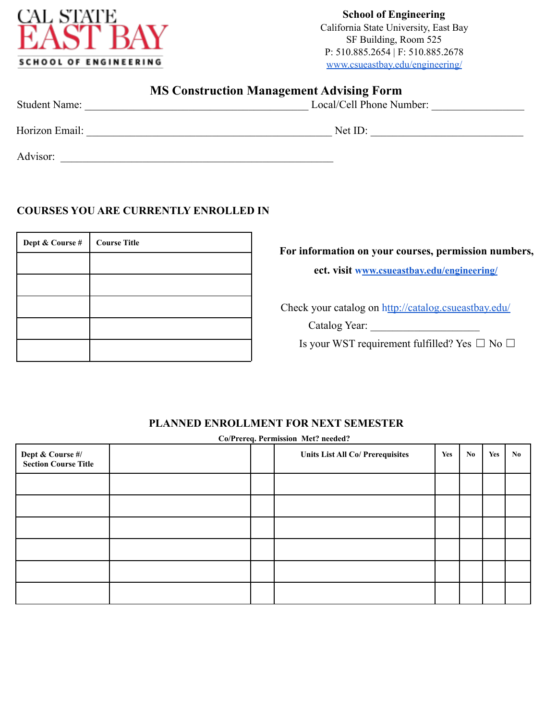

**School of Engineering** California State University, East Bay SF Building, Room 525 P: 510.885.2654 | F: 510.885.2678 www.csueastbay.edu/engineering/

## **MS Construction Management Advising Form**

| <b>Student Name:</b> | Local/Cell Phone Number: |
|----------------------|--------------------------|
| Horizon Email:       | Net ID:                  |
| Advisor:             |                          |

### **COURSES YOU ARE CURRENTLY ENROLLED IN**

| Dept & Course # | <b>Course Title</b> |
|-----------------|---------------------|
|                 |                     |
|                 |                     |
|                 |                     |
|                 |                     |
|                 |                     |

#### **For information on your courses, permission numbers,**

**ect. visit www.csueastbay.edu/engineering/**

Check your catalog on http://catalog.csueastbay.edu/

Catalog Year: \_\_\_\_\_\_\_\_\_\_\_\_\_\_\_\_\_\_\_\_

Is your WST requirement fulfilled? Yes  $\Box$  No  $\Box$ 

## **PLANNED ENROLLMENT FOR NEXT SEMESTER**

**Dept & Course #/ Section Course Title Units List All Co/ Prerequisites Yes No Yes No** 

**Co/Prereq. Permission Met? needed?**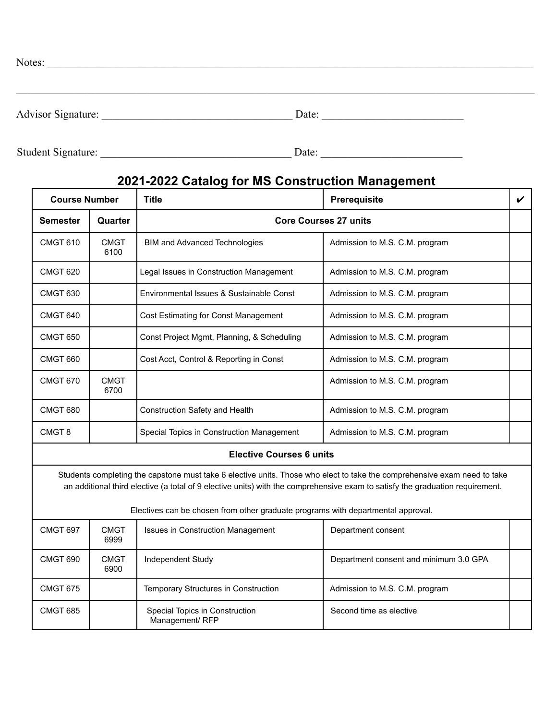| Notes:             |       |
|--------------------|-------|
|                    |       |
|                    |       |
| Advisor Signature: | Date: |

Student Signature: \_\_\_\_\_\_\_\_\_\_\_\_\_\_\_\_\_\_\_\_\_\_\_\_\_\_\_\_\_\_\_\_\_\_\_ Date: \_\_\_\_\_\_\_\_\_\_\_\_\_\_\_\_\_\_\_\_\_\_\_\_\_\_

# **2021-2022 Catalog for MS Construction Management**

| <b>Course Number</b> |                                                                                                                                                                                                                                                           | <b>Title</b>                                                                     | <b>Prerequisite</b>                    | V |  |
|----------------------|-----------------------------------------------------------------------------------------------------------------------------------------------------------------------------------------------------------------------------------------------------------|----------------------------------------------------------------------------------|----------------------------------------|---|--|
| Semester             | Quarter                                                                                                                                                                                                                                                   | <b>Core Courses 27 units</b>                                                     |                                        |   |  |
| <b>CMGT 610</b>      | <b>CMGT</b><br>6100                                                                                                                                                                                                                                       | <b>BIM and Advanced Technologies</b>                                             | Admission to M.S. C.M. program         |   |  |
| <b>CMGT 620</b>      |                                                                                                                                                                                                                                                           | Legal Issues in Construction Management                                          | Admission to M.S. C.M. program         |   |  |
| <b>CMGT 630</b>      |                                                                                                                                                                                                                                                           | Environmental Issues & Sustainable Const                                         | Admission to M.S. C.M. program         |   |  |
| <b>CMGT 640</b>      |                                                                                                                                                                                                                                                           | Cost Estimating for Const Management                                             | Admission to M.S. C.M. program         |   |  |
| <b>CMGT 650</b>      |                                                                                                                                                                                                                                                           | Const Project Mgmt, Planning, & Scheduling                                       | Admission to M.S. C.M. program         |   |  |
| <b>CMGT 660</b>      |                                                                                                                                                                                                                                                           | Cost Acct, Control & Reporting in Const                                          | Admission to M.S. C.M. program         |   |  |
| <b>CMGT 670</b>      | <b>CMGT</b><br>6700                                                                                                                                                                                                                                       |                                                                                  | Admission to M.S. C.M. program         |   |  |
| <b>CMGT 680</b>      |                                                                                                                                                                                                                                                           | Construction Safety and Health                                                   | Admission to M.S. C.M. program         |   |  |
| CMGT <sub>8</sub>    |                                                                                                                                                                                                                                                           | Special Topics in Construction Management                                        | Admission to M.S. C.M. program         |   |  |
|                      |                                                                                                                                                                                                                                                           | <b>Elective Courses 6 units</b>                                                  |                                        |   |  |
|                      | Students completing the capstone must take 6 elective units. Those who elect to take the comprehensive exam need to take<br>an additional third elective (a total of 9 elective units) with the comprehensive exam to satisfy the graduation requirement. |                                                                                  |                                        |   |  |
|                      |                                                                                                                                                                                                                                                           | Electives can be chosen from other graduate programs with departmental approval. |                                        |   |  |
| <b>CMGT 697</b>      | <b>CMGT</b><br>6999                                                                                                                                                                                                                                       | <b>Issues in Construction Management</b>                                         | Department consent                     |   |  |
| CMGT 690             | <b>CMGT</b><br>6900                                                                                                                                                                                                                                       | Independent Study                                                                | Department consent and minimum 3.0 GPA |   |  |
| <b>CMGT 675</b>      |                                                                                                                                                                                                                                                           | Temporary Structures in Construction                                             | Admission to M.S. C.M. program         |   |  |
| <b>CMGT 685</b>      |                                                                                                                                                                                                                                                           | Special Topics in Construction<br>Management/ RFP                                | Second time as elective                |   |  |